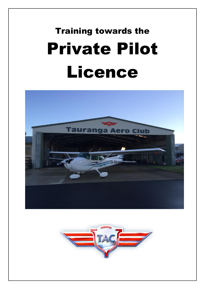# Training towards the Private Pilot Licence



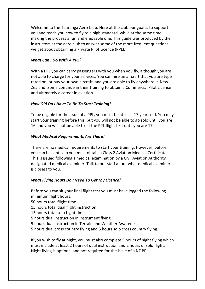Welcome to the Tauranga Aero Club. Here at the club our goal is to support you and teach you how to fly to a high standard, while at the same time making the process a fun and enjoyable one. This guide was produced by the instructors at the aero club to answer some of the more frequent questions we get about obtaining a Private Pilot Licence (PPL).

#### *What Can I Do With A PPL?*

With a PPL you can carry passengers with you when you fly, although you are not able to charge for your services. You can hire an aircraft that you are type rated on, or buy your own aircraft, and you are able to fly anywhere in New Zealand. Some continue in their training to obtain a Commercial Pilot Licence and ultimately a career in aviation.

# *How Old Do I Have To Be To Start Training?*

To be eligible for the issue of a PPL, you must be at least 17 years old. You may start your training before this, but you will not be able to go solo until you are 16 and you will not be able to sit the PPL flight test until you are 17.

# *What Medical Requirements Are There?*

There are no medical requirements to start your training. However, before you can be sent solo you must obtain a Class 2 Aviation Medical Certificate. This is issued following a medical examination by a Civil Aviation Authority designated medical examiner. Talk to our staff about what medical examiner is closest to you.

# *What Flying Hours Do I Need To Get My Licence?*

Before you can sit your final flight test you must have logged the following minimum flight hours:

50 hours total flight time.

15 hours total dual flight instruction.

15 hours total solo flight time.

5 hours dual instruction in instrument flying.

5 hours dual instruction in Terrain and Weather Awareness

5 hours dual cross country flying and 5 hours solo cross country flying.

If you wish to fly at night, you must also complete 5 hours of night flying which must include at least 2 hours of dual instruction and 2 hours of solo flight. Night flying is optional and not required for the issue of a NZ PPL.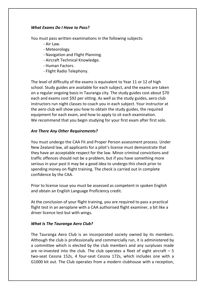#### *What Exams Do I Have to Pass?*

You must pass written examinations in the following subjects:

- Air Law.
- Meteorology.
- Navigation and Flight Planning.
- Aircraft Technical Knowledge.
- Human Factors.
- Flight Radio Telephony.

The level of difficulty of the exams is equivalent to Year 11 or 12 of high school. Study guides are available for each subject, and the exams are taken on a regular ongoing basis in Tauranga city. The study guides cost about \$70 each and exams cost \$92 per sitting. As well as the study guides, aero club instructors run night classes to coach you in each subject. Your instructor at the aero club will show you how to obtain the study guides, the required equipment for each exam, and how to apply to sit each examination. We recommend that you begin studying for your first exam after first solo.

# *Are There Any Other Requirements?*

You must undergo the CAA Fit and Proper Person assessment process. Under New Zealand law, all applicants for a pilot's license must demonstrate that they have an acceptable respect for the law. Minor criminal convictions and traffic offences should not be a problem, but if you have something more serious in your past it may be a good idea to undergo this check prior to spending money on flight training. The check is carried out in complete confidence by the CAA.

Prior to license issue you must be assessed as competent in spoken English and obtain an English Language Proficiency credit.

At the conclusion of your flight training, you are required to pass a practical flight test in an aeroplane with a CAA authorised flight examiner, a bit like a driver licence test but with wings.

# *What Is The Tauranga Aero Club?*

The Tauranga Aero Club is an incorporated society owned by its members. Although the club is professionally and commercially run, it is administered by a committee which is elected by the club members and any surpluses made are re-invested into the club. The club operates a fleet of eight aircraft  $-5$ two-seat Cessna 152s, 4 four-seat Cessna 172s, which includes one with a G1000 kit out. The Club operates from a modern clubhouse with a reception,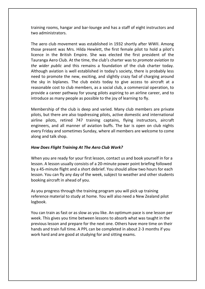training rooms, hangar and bar-lounge and has a staff of eight instructors and two administrators.

The aero club movement was established in 1932 shortly after WWII. Among those present was Mrs. Hilda Hewlett, the first female pilot to hold a pilot's licence in the British Empire. She was elected the first president of the Tauranga Aero Club. At the time, the club's charter was to *promote aviation to the wider public* and this remains a foundation of the club charter today. Although aviation is well established in today's society, there is probably less need to promote the new, exciting, and slightly crazy fad of charging around the sky in biplanes. The club exists today to give access to aircraft at a reasonable cost to club members, as a social club, a commercial operation, to provide a career pathway for young pilots aspiring to an airline career, and to introduce as many people as possible to the joy of learning to fly.

Membership of the club is deep and varied. Many club members are private pilots, but there are also topdressing pilots, active domestic and international airline pilots, retired 747 training captains, flying instructors, aircraft engineers, and all manner of aviation buffs. The bar is open on club nights every Friday and sometimes Sunday, where all members are welcome to come along and talk shop.

#### *How Does Flight Training At The Aero Club Work?*

When you are ready for your first lesson, contact us and book yourself in for a lesson. A lesson usually consists of a 20-minute power point briefing followed by a 45-minute flight and a short debrief. You should allow two hours for each lesson. You can fly any day of the week, subject to weather and other students booking aircraft in ahead of you.

As you progress through the training program you will pick up training reference material to study at home. You will also need a New Zealand pilot logbook.

You can train as fast or as slow as you like. An optimum pace is one lesson per week. This gives you time between lessons to absorb what was taught in the previous lesson and prepare for the next one. Others have more time on their hands and train full time. A PPL can be completed in about 2-3 months if you work hard and are good at studying for and sitting exams.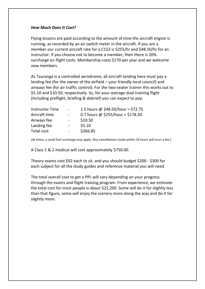#### *How Much Does It Cost?*

Flying lessons are paid according to the amount of time the aircraft engine is running, as recorded by an air switch meter in the aircraft. If you are a member our current aircraft rate for a C152 is \$255/hr and \$48.50/hr for an instructor. If you choose not to become a member, then there is 20% surcharge on flight costs. Membership costs \$170 per year and we welcome new members.

As Tauranga is a controlled aerodrome, all aircraft landing here must pay a landing fee (for the owner of the airfield – your friendly local council) and airways fee (for air traffic control). For the two-seater trainer this works out to \$5.10 and \$10.50, respectively. So, for your average dual training flight (Including preflight, briefing & debrief) you can expect to pay:

| <b>Instructor Time</b> | $\sim$     | 1.5 hours @ \$48.50/hour = \$72.75 |
|------------------------|------------|------------------------------------|
| Aircraft time          | $\sim$ $-$ | 0.7 hours @ \$255/hour = \$178.50  |
| Airways fee            | $\sim$     | \$10.50                            |
| Landing fee            | $\sim$     | \$5.10                             |
| Total cost             | $\sim$     | \$266.85                           |

(At times, a small fuel surcharge may apply. Any cancellations made within 24 hours will incur a fee.)

A Class 1 & 2 medical will cost approximately \$750.00.

Theory exams cost \$92 each to sit, and you should budget \$200 - \$300 for each subject for all the study guides and reference material you will need.

The total overall cost to get a PPL will vary depending on your progress through the exams and flight training program. From experience, we estimate the total cost for most people is about \$22,200. Some will do it for slightly less than that figure, some will enjoy the scenery more along the way and do it for slightly more.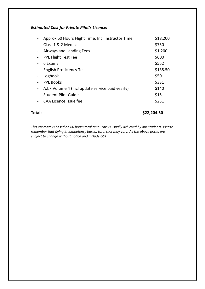# *Estimated Cost for Private Pilot's Licence:*

| Approx 60 Hours Flight Time, Incl Instructor Time | \$18,200 |
|---------------------------------------------------|----------|
| Class 1 & 2 Medical                               | \$750    |
| Airways and Landing Fees                          | \$1,200  |
| <b>PPL Flight Test Fee</b>                        | \$600    |
| 6 Exams                                           | \$552    |
| <b>English Proficiency Test</b>                   | \$135.50 |
| Logbook                                           | \$50     |
| <b>PPL Books</b>                                  | \$331    |
| A.I.P Volume 4 (incl update service paid yearly)  | \$140    |
| <b>Student Pilot Guide</b>                        | \$15     |
| CAA Licence issue fee                             | \$231    |
|                                                   |          |

**Total: \$22,204.50**

*This estimate is based on 60 hours total time. This is usually achieved by our students. Please remember that flying is competency based, total cost may vary. All the above prices are subject to change without notice and include GST.*